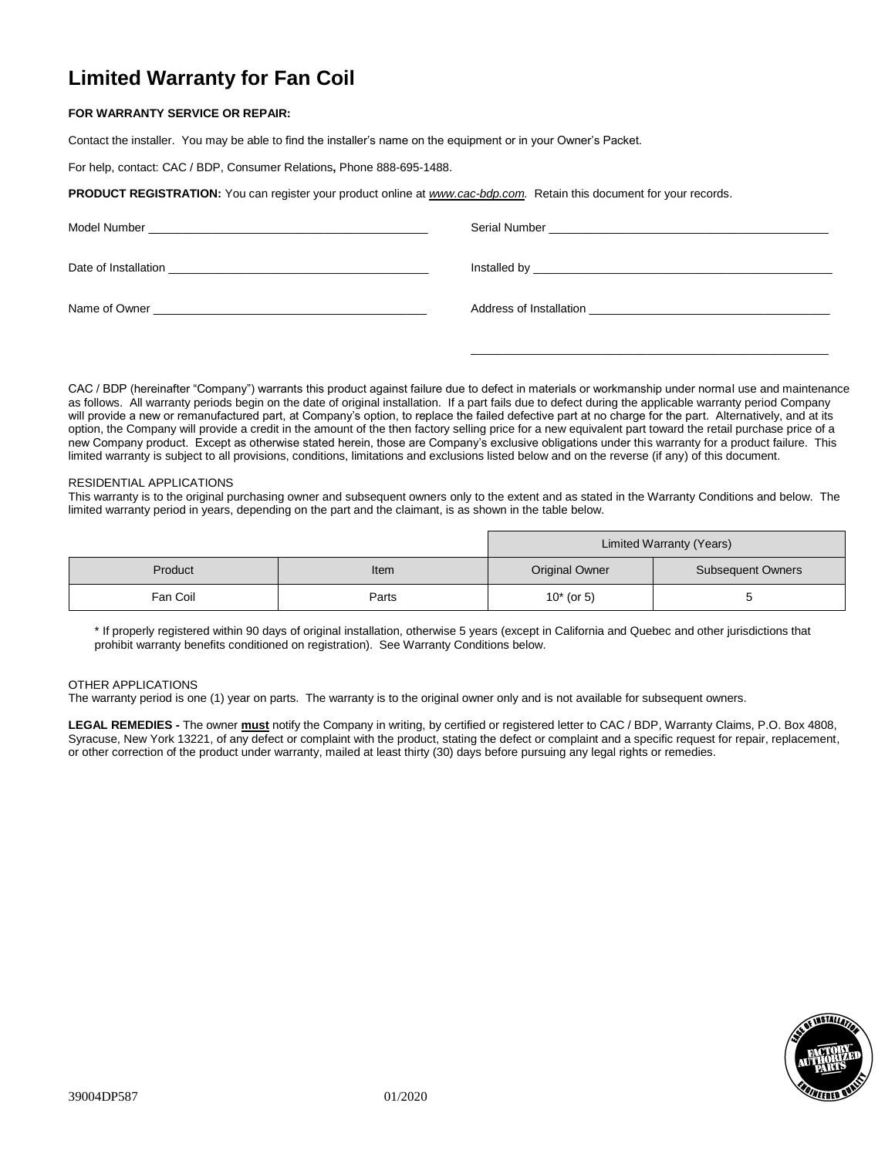# **Limited Warranty for Fan Coil**

# **FOR WARRANTY SERVICE OR REPAIR:**

Contact the installer. You may be able to find the installer's name on the equipment or in your Owner's Packet.

For help, contact: CAC / BDP, Consumer Relations**,** Phone 888-695-1488.

**PRODUCT REGISTRATION:** You can register your product online at *[www.cac-bdp.com.](http://www.cac-bdp.com/)* Retain this document for your records.

CAC / BDP (hereinafter "Company") warrants this product against failure due to defect in materials or workmanship under normal use and maintenance as follows. All warranty periods begin on the date of original installation. If a part fails due to defect during the applicable warranty period Company will provide a new or remanufactured part, at Company's option, to replace the failed defective part at no charge for the part. Alternatively, and at its option, the Company will provide a credit in the amount of the then factory selling price for a new equivalent part toward the retail purchase price of a new Company product. Except as otherwise stated herein, those are Company's exclusive obligations under this warranty for a product failure. This limited warranty is subject to all provisions, conditions, limitations and exclusions listed below and on the reverse (if any) of this document.

\_\_\_\_\_\_\_\_\_\_\_\_\_\_\_\_\_\_\_\_\_\_\_\_\_\_\_\_\_\_\_\_\_\_\_\_\_\_\_\_\_\_\_\_\_\_\_\_\_\_\_\_\_\_\_

## RESIDENTIAL APPLICATIONS

This warranty is to the original purchasing owner and subsequent owners only to the extent and as stated in the Warranty Conditions and below. The limited warranty period in years, depending on the part and the claimant, is as shown in the table below.

|          |       | Limited Warranty (Years) |                          |
|----------|-------|--------------------------|--------------------------|
| Product  | Item  | <b>Original Owner</b>    | <b>Subsequent Owners</b> |
| Fan Coil | Parts | $10*$ (or 5)             |                          |

\* If properly registered within 90 days of original installation, otherwise 5 years (except in California and Quebec and other jurisdictions that prohibit warranty benefits conditioned on registration). See Warranty Conditions below.

#### OTHER APPLICATIONS

The warranty period is one (1) year on parts. The warranty is to the original owner only and is not available for subsequent owners.

**LEGAL REMEDIES -** The owner **must** notify the Company in writing, by certified or registered letter to CAC / BDP, Warranty Claims, P.O. Box 4808, Syracuse, New York 13221, of any defect or complaint with the product, stating the defect or complaint and a specific request for repair, replacement, or other correction of the product under warranty, mailed at least thirty (30) days before pursuing any legal rights or remedies.